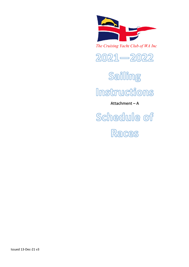

The Cruising Yacht Club of WA Inc



Sailling

Instructions

Attachment – A

Schedule of

Races

Issued 13-Dec-21 v3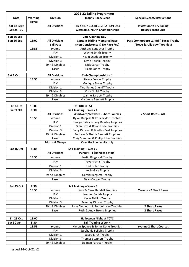|                          |                                 |                          | 2021-22 Sailing Programme                                        |                                       |
|--------------------------|---------------------------------|--------------------------|------------------------------------------------------------------|---------------------------------------|
| <b>Date</b>              | <b>Warning</b><br><b>Signal</b> | <b>Division</b>          | <b>Trophy Race/Event</b>                                         | <b>Special Events/Instructions</b>    |
| Sat 18 Sept              |                                 | <b>All Divisions</b>     | <b>TRY SAILING &amp; REGISTRATION DAY</b>                        | <b>Invitation to Try Sailing</b>      |
| Sat 25 - 30              |                                 |                          | <b>Westsail &amp; Youth Championships</b>                        | <b>Hillarys Yacht Club</b>            |
|                          |                                 |                          |                                                                  |                                       |
| Sun 26 Sep<br>Sun 26 Sep | 13:00                           | <b>All Divisions</b>     | <b>Club Opening Day</b><br><b>Captain Stirling Memorial Race</b> | Past Commodore WJ (Bill) Lucas Trophy |
|                          |                                 | <b>Sail Past</b>         | (Non-Consistency & No Race Fee)                                  | (Steve & Julie Saw Trophies)          |
|                          | 13:55                           | Yvonne                   | Anthony Sandover Trophy                                          |                                       |
|                          |                                 | <b>JAM</b>               | Wayne Smith Trophy                                               |                                       |
|                          |                                 | Division 1               | Kevin Sneddon Trophy                                             |                                       |
|                          |                                 | Division 3               | Kevin Ritchie Trophy                                             |                                       |
|                          |                                 | 29'r & Dinghies          | Nick Carter Trophy                                               |                                       |
|                          |                                 | Laser                    | Nicole Jones Trophy                                              |                                       |
|                          |                                 |                          |                                                                  |                                       |
| Sat 2 Oct                |                                 | <b>All Divisions</b>     | <b>Club Championships - 1</b><br><b>Stewie Dewar Trophy</b>      |                                       |
|                          | 13:55                           | Yvonne<br><b>JAM</b>     | Monique Styles Trophy                                            |                                       |
|                          |                                 | Division 1               | Tyra Renee Sherriff Trophy                                       |                                       |
|                          |                                 | Division 3               | Chris Smith Trophy                                               |                                       |
|                          |                                 | 29'r & Dinghies          | Leanne Bartlett Trophy                                           |                                       |
|                          |                                 | Laser                    | Marianne Bennett Trophy                                          |                                       |
|                          |                                 |                          |                                                                  |                                       |
| Fri 8 Oct                | 18:00                           |                          | <b>OKTOBERFEST</b>                                               |                                       |
| Sat 9 Oct                | 8:30                            |                          | Sail Training - Week 1                                           |                                       |
|                          |                                 | <b>All Divisions</b>     | <b>Windward/Leeward - Short Courses</b>                          | 2 Short Races - ALL                   |
|                          | 13:55                           | Yvonne                   | Dylon Burgess & Ross Taylor Trophies                             |                                       |
|                          |                                 | <b>JAM</b>               | George Batey & Cory Beazley Trophies                             |                                       |
|                          |                                 | Division 1               | Glen Firth & Roland Bee Trophies                                 |                                       |
|                          |                                 | Division 3               | Barry Dimond & Bradley Best Trophies                             |                                       |
|                          |                                 | 29'r & Dinghies          | Andreas & Thekla Bennett Trophies                                |                                       |
|                          |                                 | Laser                    | Craig Stanners & Phillip John Trophies                           |                                       |
|                          |                                 | <b>Moths &amp; Wasps</b> | Over the line results only                                       |                                       |
| Sat 16 Oct               | 8:30                            |                          | Sail Training - Week 2                                           |                                       |
|                          |                                 | <b>All Divisions</b>     | Pursuit - 1 (Handicap Start)                                     |                                       |
|                          | 13:55                           | Yvonne                   | Justin Ridgewell Trophy                                          |                                       |
|                          |                                 | JAM                      | <b>Trevor Fettis Trophy</b>                                      |                                       |
|                          |                                 | Division 1               | <b>Ted Fuller Trophy</b>                                         |                                       |
|                          |                                 | Division 3               | Kevin Gale Trophy                                                |                                       |
|                          |                                 | 29'r & Dinghies          | <b>Gerald Bergsma Trophy</b>                                     |                                       |
|                          |                                 | Laser                    | Dean Cooper Trophy                                               |                                       |
|                          |                                 |                          |                                                                  |                                       |
| Sat 23 Oct               | 8:30                            |                          | Sail Training - Week 3                                           |                                       |
|                          | 13:55                           | Yvonne                   | Dave & Carol Randall Trophies                                    | <b>Yvonne - 2 Short Races</b>         |
|                          |                                 | JAM                      | Jennifer Foulds Trophy                                           |                                       |
|                          |                                 | Division 1               | Kevin Phillips Trophy                                            |                                       |
|                          |                                 | Division 3               | <b>Beverley Dimond Trophy</b>                                    |                                       |
|                          |                                 | 29'r & Dinghies          | John Clements & Rolf Johnsen Trophies                            | 2 Short Races                         |
|                          |                                 | Laser                    | Ruth & Andy Strong Trophies                                      | 2 Short Races                         |
|                          |                                 |                          |                                                                  |                                       |
| Fri 29 Oct               | 18:00                           |                          | <b>Halloween Night at TCYC</b>                                   |                                       |
| Sat 30 Oct               | 8:30                            |                          | <b>Sail Training Week 4</b>                                      |                                       |
|                          | 13:55                           | Yvonne                   | Kieran Spence & Sonny Rolfe Trophies                             | <b>Yvonne 2 Short Courses</b>         |
|                          |                                 | JAM<br>Division 1        | <b>Stephanie Feilding Trophy</b><br>Jacob Birch Trophy           |                                       |
|                          |                                 | Division 3               | <b>Thomas Stanners Trophy</b>                                    |                                       |
|                          |                                 | 29'r & Dinghies          | Delman Farquar Trophy                                            |                                       |
|                          |                                 |                          |                                                                  |                                       |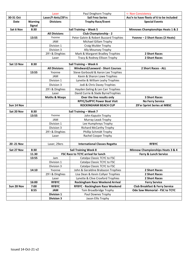|             |                                 | Laser                    | Paul Dreghorn Trophy                    | <- Non Consistency                           |
|-------------|---------------------------------|--------------------------|-----------------------------------------|----------------------------------------------|
| 30-31 Oct   |                                 | Laser/F-Ants/29'rs       | <b>Sail Freo Series</b>                 | Ass'n to have fleets of 6 to be included     |
| Date        | <b>Warning</b><br><b>Signal</b> | <b>Divisions</b>         | <b>Trophy Race/Event</b>                | <b>Special Events</b>                        |
| Sat 6 Nov   | 8:30                            |                          | Sail Training - Week 5                  | <b>Minnows Championships Heats 1 &amp; 2</b> |
|             |                                 | <b>All Divisions</b>     | <b>Club Championship - 2</b>            |                                              |
|             | 13:55                           | Yvonne                   | Peter Galvin & Robert Buzzard Trophies  | Yvonne - 2 Short Races (2 Heats)             |
|             |                                 | JAM                      | Michael Gillam Trophy                   |                                              |
|             |                                 | Division 1               | Craig Mulder Trophy                     |                                              |
|             |                                 | Division 3               | Ally Mounsey Trophy                     |                                              |
|             |                                 | 29'r & Dinghies          | Mark & Margaret Bradley Trophies        | 2 Short Races                                |
|             |                                 | Laser                    | Tracy & Rodney Ellison Trophy           | 2 Short Races                                |
| Sat 13 Nov  | 8:30                            |                          | Sail Training - Week 6                  |                                              |
|             |                                 | <b>All Divisions</b>     | <b>Windward/Leeward - Short Courses</b> | 2 Short Races - ALL                          |
|             | 13:55                           | Yvonne                   | Steve Gorbould & Aaron Lee Trophies     |                                              |
|             |                                 | JAM                      | Kevin & Sharon Lowe Trophies            |                                              |
|             |                                 | Division 1               | Lynette & William Leahy Trophies        |                                              |
|             |                                 | Division 3               | Jodi & Chris Davey Trophies             |                                              |
|             |                                 | 29'r & Dinghies          | Hayden Geling & Len Carr Trophies       |                                              |
|             |                                 | Laser                    | David Currie & Slade ByrneTrophies      |                                              |
|             |                                 | <b>Moths &amp; Wasps</b> | Over the line results only              | <b>3 Short Races</b>                         |
|             |                                 |                          | <b>RPYC/SofPYC Power Boat Visit</b>     | <b>No Ferry Service</b>                      |
| Sun 14 Nov  |                                 |                          | <b>ROCKINGHAM BEACH CUP</b>             | 29'er Sprint Series at MBSC                  |
| Sat 20 Nov  | 8:30                            |                          | Sail Training - Week 7                  |                                              |
|             | 13:55                           | Yvonne                   | John Kaputin Trophy                     |                                              |
|             |                                 | <b>JAM</b>               | Murray Leask Trophy                     |                                              |
|             |                                 | Division 1               | Lee Humphreys Trophy                    |                                              |
|             |                                 | Division 3               | <b>Richard McCarthy Trophy</b>          |                                              |
|             |                                 | 29'r & Dinghies          | Phillip Schmidt Trophy                  |                                              |
|             |                                 | Laser                    | Rachel Cooper Trophy                    |                                              |
|             |                                 |                          |                                         |                                              |
| 20 - 21 Nov |                                 | Laser, 29ers             | <b>International Classes Regatta</b>    | <b>RFBYC</b>                                 |
| Sat 27 Nov  | 8:30                            |                          | <b>Sail Training Week 8</b>             | <b>Minnow Championships Heats 3 &amp; 4</b>  |
|             | 11.30                           |                          | FSC Race to TCYC arrival for lunch      | Ferry & Lunch Service                        |
|             | 13:55                           | Jam                      | Catalpa Classic TCYC to FSC             |                                              |
|             |                                 | Division 1               | Catalpa Classic TCYC to FSC             |                                              |
|             |                                 | Division 3               | Catalpa Classic TCYC to FSC             |                                              |
|             | 14:10                           | Yvonne                   | John & Geraldine Brabazon Trophies      | 2 Short Races                                |
|             |                                 | 29'r & Dinghies          | Lisa Dean & Kevin Collyer Trophies      | 2 Short Races                                |
|             |                                 | Laser                    | Lynette & Clive Croxford Trophies       | 2 Short Races                                |
|             | 16:00                           | <b>RFBYC</b>             | <b>Rockingham Race Weekend Arrival</b>  | <b>Ferry Service</b>                         |
| Sun 28 Nov  | 7:00                            | <b>RFBYC</b>             | <b>RFBYC - Rockingham Race Weekend</b>  | <b>Club Breakfast &amp; Ferry Service</b>    |
|             | 8:55                            | <b>JAM</b>               | Tom Broadbridge Trophy                  | Ode Saw Memorial - FSC to TCYC               |
|             |                                 | <b>Division 1</b>        | Paul Downes Trophy                      |                                              |
|             |                                 | <b>Division 3</b>        | Jason Ellis Trophy                      |                                              |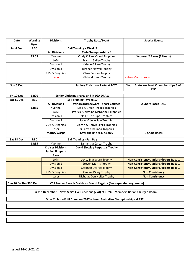| <b>Date</b>                                     | <b>Warning</b><br><b>Signal</b>                                                                       | <b>Divisions</b>                                   | <b>Trophy Race/Event</b>                                                              | <b>Special Events</b>                           |  |  |  |
|-------------------------------------------------|-------------------------------------------------------------------------------------------------------|----------------------------------------------------|---------------------------------------------------------------------------------------|-------------------------------------------------|--|--|--|
| Sat 4 Dec                                       | 8:30                                                                                                  |                                                    | Sail Training - Week 9                                                                |                                                 |  |  |  |
|                                                 |                                                                                                       | <b>All Divisions</b>                               | Club Championship - 3                                                                 |                                                 |  |  |  |
|                                                 | 13:55                                                                                                 | Yvonne                                             | Cindy & Paul Orvad Trophies                                                           | Yvonnes 2 Races (2 Heats)                       |  |  |  |
|                                                 |                                                                                                       | JAM                                                | <b>Francis Gidley Trophy</b>                                                          |                                                 |  |  |  |
|                                                 |                                                                                                       | Division 1                                         | Valerie Gillam Trophy                                                                 |                                                 |  |  |  |
|                                                 |                                                                                                       | Division 3                                         | <b>Terence Newell Trophy</b>                                                          |                                                 |  |  |  |
|                                                 |                                                                                                       | 29'r & Dinghies                                    | Clare Connor Trophy                                                                   |                                                 |  |  |  |
|                                                 |                                                                                                       | Laser                                              | Michael Jones Trophy                                                                  | <- Non Consistency                              |  |  |  |
|                                                 |                                                                                                       |                                                    |                                                                                       |                                                 |  |  |  |
| Sun 5 Dec                                       |                                                                                                       |                                                    | <b>Juniors Christmas Party at TCYC</b>                                                | Youth State Keelboat Championships S of<br>PYC. |  |  |  |
| Fri 10 Dec                                      | 18:00                                                                                                 |                                                    | <b>Senior Christmas Party and MEGA DRAW</b>                                           |                                                 |  |  |  |
| Sat 11 Dec                                      | 8:30                                                                                                  |                                                    | Sail Training - Week 10                                                               |                                                 |  |  |  |
|                                                 |                                                                                                       | <b>All Divisions</b>                               | <b>Windward/Leeward - Short Courses</b>                                               | 2 Short Races - ALL                             |  |  |  |
|                                                 | 13:55                                                                                                 | Yvonne                                             | Max & Grace Phillips Trophies                                                         |                                                 |  |  |  |
|                                                 |                                                                                                       | <b>JAM</b>                                         | Patrick & Kirstine McDonnell Trophies                                                 |                                                 |  |  |  |
|                                                 |                                                                                                       | Division 1                                         | Neil & Lee Pipe Trophies                                                              |                                                 |  |  |  |
|                                                 |                                                                                                       | Division 3                                         | Steve & Julie Saw Trophies                                                            |                                                 |  |  |  |
|                                                 |                                                                                                       | 29'r & Dinghies                                    | Martin & Robyn Skells Trophies                                                        |                                                 |  |  |  |
|                                                 |                                                                                                       | Laser                                              | <b>Bill Cox &amp; Belinda Trophies</b>                                                |                                                 |  |  |  |
|                                                 |                                                                                                       | Moths/Wasps                                        | Over the line results only                                                            | <b>3 Short Races</b>                            |  |  |  |
| Sat 18 Dec                                      | 9:30                                                                                                  |                                                    | Sail Training - Fun Day                                                               |                                                 |  |  |  |
|                                                 | 13:55                                                                                                 | Yvonne                                             | Samantha Carter Trophy                                                                |                                                 |  |  |  |
|                                                 |                                                                                                       | <b>Cruiser Divisions</b><br><b>Junior Skippers</b> | <b>David Slowley Perpetual Trophy</b>                                                 |                                                 |  |  |  |
|                                                 |                                                                                                       | Race                                               |                                                                                       |                                                 |  |  |  |
|                                                 |                                                                                                       | <b>JAM</b>                                         | Joyce Blackburn Trophy                                                                | <b>Non-Consistency Junior Skippers Race 1</b>   |  |  |  |
|                                                 |                                                                                                       | <b>Division 1</b>                                  | <b>Steven Morris Trophy</b>                                                           | <b>Non-Consistency Junior Skippers Race 1</b>   |  |  |  |
|                                                 |                                                                                                       | <b>Division 3</b>                                  | <b>Stephen Dorries Trophy</b>                                                         | <b>Non-Consistency Junior Skippers Race 1</b>   |  |  |  |
|                                                 |                                                                                                       | 29'r & Dinghies                                    | <b>Pauline Dilley Trophy</b>                                                          | <b>Non Consistency</b>                          |  |  |  |
|                                                 |                                                                                                       | Laser                                              | Nicholas Den Heijer Trophy                                                            | <b>Non Consistency</b>                          |  |  |  |
| Sun 26 <sup>th</sup> - Thu 30 <sup>th</sup> Dec |                                                                                                       |                                                    | CSR Feeder Race & Cockburn Sound Regatta (See separate programme)                     |                                                 |  |  |  |
|                                                 |                                                                                                       |                                                    |                                                                                       |                                                 |  |  |  |
|                                                 | Fri 31 <sup>st</sup> December - New Year's Eve Functions (2 of) at TCYC - Members Bar and Burgee Room |                                                    |                                                                                       |                                                 |  |  |  |
|                                                 |                                                                                                       |                                                    |                                                                                       |                                                 |  |  |  |
|                                                 |                                                                                                       |                                                    | Mon $3^{rd}$ Jan – Fri $8^{th}$ January 2022 – Laser Australian Championships at FSC. |                                                 |  |  |  |
|                                                 |                                                                                                       |                                                    |                                                                                       |                                                 |  |  |  |
|                                                 |                                                                                                       |                                                    |                                                                                       |                                                 |  |  |  |
|                                                 |                                                                                                       |                                                    |                                                                                       |                                                 |  |  |  |
|                                                 |                                                                                                       |                                                    |                                                                                       |                                                 |  |  |  |
|                                                 |                                                                                                       |                                                    |                                                                                       |                                                 |  |  |  |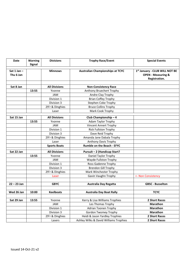| <b>Date</b>                  | <b>Warning</b> | <b>Divisions</b>     | <b>Trophy Race/Event</b>                | <b>Special Events</b>                                                            |
|------------------------------|----------------|----------------------|-----------------------------------------|----------------------------------------------------------------------------------|
|                              | <b>Signal</b>  |                      |                                         |                                                                                  |
| Sat $1$ Jan $-$<br>Thu 6 Jan |                | <b>Minnows</b>       | <b>Australian Championships at TCYC</b> | 1st January - CLUB WILL NOT BE<br><b>OPEN - Measuring &amp;</b><br>Registration. |
|                              |                |                      |                                         |                                                                                  |
| Sat 8 Jan                    |                | <b>All Divisions</b> | <b>Non-Consistency Race</b>             |                                                                                  |
|                              | 13:55          | Yvonne               | Anthony Bruechert Trophy                |                                                                                  |
|                              |                | JAM                  | Andre Clay Trophy                       |                                                                                  |
|                              |                | Division 1           | <b>Brian Coffey Trophy</b>              |                                                                                  |
|                              |                | Division 3           | Stephen Coke Trophy                     |                                                                                  |
|                              |                | 29'r & Dinghies      | <b>Bruce Collins Trophy</b>             |                                                                                  |
|                              |                | Laser                | Mark Cook Trophy                        |                                                                                  |
| Sat 15 Jan                   |                | <b>All Divisions</b> | Club Championship-4                     |                                                                                  |
|                              | 13:55          | Yvonne               | <b>Adam Taylor Trophy</b>               |                                                                                  |
|                              |                | JAM                  | <b>Vincent Annert Trophy</b>            |                                                                                  |
|                              |                | Division 1           | <b>Rick Fullston Trophy</b>             |                                                                                  |
|                              |                | Division 3           | Dave Reid Trophy                        |                                                                                  |
|                              |                | 29'r & Dinghies      | Amanda Jane Dabala Trophy               |                                                                                  |
|                              |                | Laser                | Anthony Davis Trophy                    |                                                                                  |
|                              |                | <b>Sports Boats</b>  | <b>Rumble on the Beach - EFYC</b>       |                                                                                  |
| Sat 22 Jan                   |                | <b>All Divisions</b> | Pursuit - 2 (Handicap Start?            |                                                                                  |
|                              | 13:55          | Yvonne               | Daniel Taylor Trophy                    |                                                                                  |
|                              |                | JAM                  | Wayde Fullston Trophy                   |                                                                                  |
|                              |                | Division 1           | Ross Gadenne Trophy                     |                                                                                  |
|                              |                | Division 3           | <b>Brendon Gill Trophy</b>              |                                                                                  |
|                              |                | 29'r & Dinghies      | Mark Winchester Trophy                  |                                                                                  |
|                              |                | Laser                | Gavin Vaughn Trophy                     | <- Non Consistency                                                               |
|                              |                |                      |                                         |                                                                                  |
| $22 - 23$ Jan                |                | <b>GBYC</b>          | Australia Day Regatta                   | <b>GBSC - Busselton</b>                                                          |
|                              |                |                      |                                         |                                                                                  |
| Wed 26 Jan                   | 10:00          | <b>Keelboats</b>     | <b>Australia Day Boat Rally</b>         | <b>TCYC</b>                                                                      |
|                              |                |                      |                                         |                                                                                  |
| Sat 29 Jan                   | 13:55          | Yvonne               | Kerry & Lisa Williams Trophies          | <b>2 Short Races</b>                                                             |
|                              |                | <b>JAM</b>           | Les Thomas Trophy                       | <b>Marathon</b>                                                                  |
|                              |                | Division 1           | Adrian Toonen Trophy                    | <b>Marathon</b>                                                                  |
|                              |                | Division 3           | <b>Gordon Twomey Trophy</b>             | Marathon                                                                         |
|                              |                | 29'r & Dinghies      | Heidi & Jason Yardley Trophies          | <b>2 Short Races</b>                                                             |
|                              |                | Lasers               | Ashley Wilks & David Williams Trophies  | 2 Short Races                                                                    |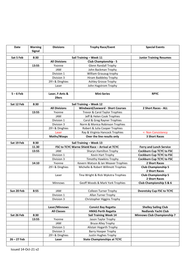| <b>Date</b>   | Warning<br><b>Signal</b> | <b>Divisions</b>     | <b>Trophy Race/Event</b>                        | <b>Special Events</b>              |
|---------------|--------------------------|----------------------|-------------------------------------------------|------------------------------------|
| Sat 5 Feb     | 8:30                     |                      | Sail Training - Week 11                         | <b>Junior Training Resumes</b>     |
|               |                          | <b>All Divisions</b> | <b>Club Championship - 5</b>                    |                                    |
|               | 13:55                    | Yvonne               | <b>Glenn Randall Trophy</b>                     |                                    |
|               |                          | JAM                  | John Backman Trophy                             |                                    |
|               |                          | Division 1           | William Grauaug trophy                          |                                    |
|               |                          | Division 3           | Hiram Baddeley Trophy                           |                                    |
|               |                          | 29'r & Dinghies      | <b>Ashley Grosse Trophy</b>                     |                                    |
|               |                          | Laser                | John Hagstrom Trophy                            |                                    |
|               |                          |                      |                                                 |                                    |
| $5 - 6$ Feb   |                          | Laser, F-Ants &      | <b>Mini-Series</b>                              | <b>RPYC</b>                        |
|               |                          | 29ers                |                                                 |                                    |
| Sat 12 Feb    | 8:30                     |                      | Sail Training - Week 12                         |                                    |
|               |                          | <b>All Divisions</b> | <b>Windward/Leeward - Short Courses</b>         | 2 Short Races - ALL                |
|               | 13:55                    | Yvonne               | Trevor & Carol Taylor Trophies                  |                                    |
|               |                          | JAM                  | Jeff & Helen Cook Trophies                      |                                    |
|               |                          | Division 1           | Carol & Greg Rayner Trophies                    |                                    |
|               |                          | Division 3           | Norm & Monica Robinson Trophies                 |                                    |
|               |                          | 29'r & Dinghies      | Robert & Julia Cooper Trophies                  |                                    |
|               |                          | Laser                | Ray & Virginia Hancock Trophies                 | <- Non Consistency                 |
|               |                          | Moths/Wasps          | Over the line results only                      | <b>3 Short Races</b>               |
| Sat 19 Feb    | 8:30                     |                      | Sail Training - Week 13                         |                                    |
|               | 11.30                    |                      | FSC to TCYC Warne Shield Race - Arrival at TCYC | <b>Ferry and Lunch Service</b>     |
|               | 13:55                    | <b>JAM</b>           | Sharyn Hamilton Trophy                          | <b>Cockburn Cup TCYC to FSC</b>    |
|               |                          | Division 1           | Kevin Hart Trophy                               | <b>Cockburn Cup TCYC to FSC</b>    |
|               |                          | Division 3           | <b>Timothy Hawkins Trophy</b>                   | <b>Cockburn Cup TCYC to FSC</b>    |
|               | 14:10                    | Yvonne               | Kevern Watson & Ian Weaver Trophies             | 2 Short Races                      |
|               |                          | 29'r & Dinghies      | Michelle & Robert Willmott Trophies             | <b>Club Championship 5</b>         |
|               |                          |                      |                                                 | 2 Short Races                      |
|               |                          | Laser                | Tina Wright & Rick Wykstra Trophies             | <b>Club Championship 5</b>         |
|               |                          |                      |                                                 | 2 Short Races                      |
|               |                          | Minnows              | Geoff Woods & Mark York Trophies                | Club Championship 5 & 6            |
| Sun 20 Feb    | 8:55                     | JAM                  | <b>Colleen Turner Trophy</b>                    | <b>Dvoretsky Cup FSC to TCYC</b>   |
|               |                          | Division 1           | Allan Turner Trophy                             |                                    |
|               |                          | Division 3           | Christopher Higgins Trophy                      |                                    |
|               |                          |                      |                                                 |                                    |
|               |                          | Laser/Minnows        | <b>Convict Bay Regatta</b>                      | <b>Shelley Sailing Club</b>        |
|               |                          | <b>All Classes</b>   | <b>HMAS Perth Regatta</b>                       | <b>Nedlands Yacht Club</b>         |
| Sat 26 Feb    | 8:30                     |                      | <b>Sail Training Week 14</b>                    | <b>Minnows Club Championship 7</b> |
|               | 13:55                    | Yvonne               | Jason Taylor Trophy                             |                                    |
|               |                          | JAM                  | <b>Bruce Alley Trophy</b>                       |                                    |
|               |                          | Division 1           | Alistair Hogarth Trophy                         |                                    |
|               |                          | Division 3           | <b>Barry Hooper Trophy</b>                      |                                    |
|               |                          | 29'r & Dinghies      | Justin Hughes Trophy                            |                                    |
| $26 - 27$ Feb |                          | Laser                | <b>State Championships at TCYC</b>              |                                    |
|               |                          |                      |                                                 |                                    |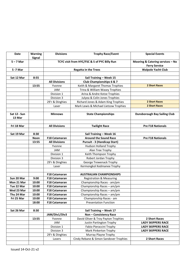| Date                | <b>Warning</b><br><b>Signal</b> | <b>Divisions</b>     | <b>Trophy Race/Event</b>                     | <b>Special Events</b>                                    |
|---------------------|---------------------------------|----------------------|----------------------------------------------|----------------------------------------------------------|
| $5 - 7$ Mar         |                                 |                      | TCYC visit from HYC/FSC & S of PYC Billy Run | Mooring & Catering services - No<br><b>Ferry Service</b> |
| 5 -7 Mar            |                                 |                      | <b>Regatta in the Trees</b>                  | <b>Walpole Yacht Club</b>                                |
|                     |                                 |                      |                                              |                                                          |
| Sat 12 Mar          | 8:55                            |                      | Sail Training - Week 15                      |                                                          |
|                     |                                 | <b>All Divisions</b> | <b>Club Championships 6 &amp; 7</b>          |                                                          |
|                     | 13:55                           | Yvonne               | Keith & Margaret Thomas Trophies             | <b>2 Short Races</b>                                     |
|                     |                                 | <b>JAM</b>           | Trina & William Wasey Trophies               |                                                          |
|                     |                                 | Division 1           | Arina & Andre Kotze Trophies                 |                                                          |
|                     |                                 | Division 3           | Julyea & Colin Jones Trophies                |                                                          |
|                     |                                 | 29'r & Dinghies      | Richard Jones & Adam King Trophies           | <b>2 Short Races</b>                                     |
|                     |                                 | Laser                | Mark Lewis & Michael Lietzow Trophies        | <b>2 Short Races</b>                                     |
| <b>Sat 12 - Sun</b> |                                 | <b>Minnows</b>       | <b>State Championships</b>                   | <b>Dunsborough Bay Sailing Club</b>                      |
| 13 Mar              |                                 |                      |                                              |                                                          |
| Fri 18 Mar          |                                 | <b>All Divisions</b> | <b>Twilight Race</b>                         | <b>Pre F18 Nationals</b>                                 |
|                     |                                 |                      |                                              |                                                          |
| Sat 19 Mar          | 8:30                            |                      | Sail Training - Week 16                      |                                                          |
|                     | <b>Noon</b>                     | <b>F18 Catamaran</b> | <b>Around the Sound Race</b>                 | <b>Pre F18 Nationals</b>                                 |
|                     | 13:55                           | <b>All Divisions</b> | <b>Pursuit - 3 (Handicap Start)</b>          |                                                          |
|                     |                                 | Yvonne               | <b>Hudson Holland Trophy</b>                 |                                                          |
|                     |                                 | <b>JAM</b>           | Alan Tree Trophy                             |                                                          |
|                     |                                 | Division 1           | Keith Thompson Trophy                        |                                                          |
|                     |                                 | Division 3           | Robert Jordan Trophy                         |                                                          |
|                     |                                 | 29'r & Dinghies      | <b>George Trewenack Trophy</b>               |                                                          |
|                     |                                 | Laser                | Kermongkol Kedmanee Trophy                   |                                                          |
|                     |                                 | <b>F18 Catamaran</b> | <b>AUSTRALIAN CHAMPIONSHIPS</b>              |                                                          |
| Sun 20 Mar          | 9:00                            | <b>F18 Catamaran</b> | <b>Registration &amp; Measuring</b>          |                                                          |
| Mon 21 Mar          | 10:00                           | <b>F18 Catamaran</b> | Championship Races - am/pm                   |                                                          |
| Tue 22 Mar          | 10:00                           | F18 Catamaran        | Championship Races - am/pm                   |                                                          |
| Wed 23 Mar          | 10:00                           | <b>F18 Catamaran</b> | Championship Races - am/pm                   |                                                          |
| Thu 24 Mar          | 10:00                           | F18 Catamaran        | Championship Races - am/pm                   |                                                          |
| Fri 25 Mar          | 10:00                           | <b>F18 Catamaran</b> | Championship Races - am                      |                                                          |
|                     | 18:00                           | <b>F18 Catamaran</b> | <b>Presentation Function</b>                 |                                                          |
|                     |                                 |                      |                                              |                                                          |
| Sat 26 Mar          | 8:30                            |                      | Sail Training - Week 17                      |                                                          |
|                     |                                 | JAM/Div1/Div3        | <b>Non - Consistency Race</b>                |                                                          |
|                     | 13:55                           | Yvonne               | David Oliver & Troy Payton Trophies          | 2 Short Races                                            |
|                     |                                 | JAM                  | Justin Partington Trophy                     | <b>LADY SKIPPERS RACE</b>                                |
|                     |                                 | Division 1           | Fabio Pieraccini Trophy                      | <b>LADY SKIPPERS RACE</b>                                |
|                     |                                 | Division 3           | Mark Pinkerton Trophy                        | <b>LADY SKIPPERS RACE</b>                                |
|                     |                                 | 29'r & Dinghies      | Murray Playne Trophy                         |                                                          |
|                     |                                 | Lasers               | Cindy Rebane & Simon Sandover Trophies       | 2 Short Races                                            |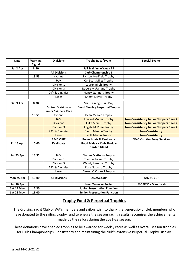| <b>Date</b> | <b>Warning</b> | <b>Divisions</b>            | <b>Trophy Race/Event</b>              | <b>Special Events</b>                         |
|-------------|----------------|-----------------------------|---------------------------------------|-----------------------------------------------|
|             | <b>Signal</b>  |                             |                                       |                                               |
| Sat 2 Apr   | 8:30           |                             | Sail Training - Week 18               |                                               |
|             |                | <b>All Divisions</b>        | <b>Club Championship 8</b>            |                                               |
|             | 13.55          | Yvonne                      | Lynton Merifield Trophy               |                                               |
|             |                | <b>JAM</b>                  | Cpl Scott Miles Trophy                |                                               |
|             |                | Division 1                  | Lauren Birch Trophy                   |                                               |
|             |                | Division 3                  | <b>Robert McFarlane Trophy</b>        |                                               |
|             |                | 29'r & Dinghies             | <b>Nancy Stanners Trophy</b>          |                                               |
|             |                | Laser                       | Cheryl Mavor Trophy                   |                                               |
|             |                |                             |                                       |                                               |
| Sat 9 Apr   | 8:30           |                             | Sail Training - Fun Day               |                                               |
|             |                | <b>Cruiser Divisions -</b>  | <b>David Slowley Perpetual Trophy</b> |                                               |
|             |                | <b>Junior Skippers Race</b> |                                       |                                               |
|             | 13:55          | Yvonne                      | Dean McKain Trophy                    |                                               |
|             |                | <b>JAM</b>                  | <b>Edward Murcia Trophy</b>           | <b>Non-Consistency Junior Skippers Race 2</b> |
|             |                | Division1                   | <b>Luke Morris Trophy</b>             | <b>Non-Consistency Junior Skippers Race 2</b> |
|             |                | <b>Division 3</b>           | <b>Angela McPhee Trophy</b>           | <b>Non-Consistency Junior Skippers Race 2</b> |
|             |                | 29'r & Dinghies             | <b>Baard Maehle Trophy</b>            | <b>Non-Consistency</b>                        |
|             |                | Laser                       | <b>Scott Martin Trophy</b>            | <b>Non-Consistency</b>                        |
|             |                | <b>EFYC VISIT</b>           | <b>Powerboats &amp; Keelboats</b>     | <b>EFYC Visit (No Ferry Service)</b>          |
| Fri 15 Apr  | 10:00          | <b>Keelboats</b>            | Good Friday - Club Picnic -           |                                               |
|             |                |                             | <b>Garden Island</b>                  |                                               |
|             |                |                             |                                       |                                               |
| Sat 23 Apr  | 13:55          | <b>JAM</b>                  | <b>Charles Mathews Trophy</b>         |                                               |
|             |                | Division 1                  | <b>Thomas Larsen Trophy</b>           |                                               |
|             |                | Division 3                  | Wendy Lakeman Trophy                  |                                               |
|             |                | 29'r & Dinghies             | Ross Norgard Trophy                   |                                               |
|             |                | Laser                       | Garnet O'Connell Trophy               |                                               |
|             |                |                             |                                       |                                               |
| Mon 25 Apr  | 13:00          | <b>All Divisions</b>        | <b>ANZAC CUP</b>                      | <b>ANZAC CUP</b>                              |
| Sat 30 Apr  |                |                             | <b>Laser Traveller Series</b>         | MOF&SC - Mandurah                             |
| Sat 14 May  | 17:30          |                             | <b>Junior Presentation Function</b>   |                                               |
| Sat 28 May  | 18:00          |                             | <b>Senior Presentation Function</b>   |                                               |

### **Trophy Fund & Perpetual Trophies**

The Cruising Yacht Club of WA's members and sailors wish to thank the generosity of club members who have donated to the sailing trophy fund to ensure the season racing results recognises the achievements made by the sailors during the 2021-22 season.

These donations have enabled trophies to be awarded for weekly races as well as overall season trophies for Club Championships, Consistency and maintaining the club's extensive Perpetual Trophy Display.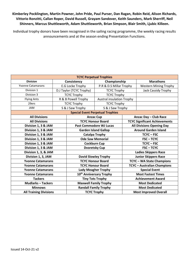### **Kimberley Pocklington, Martin Powner, John Pride, Paul Purser, Dan Ragan, Robin Reid, Alison Richards, Vittorio Ronzitti, Callan Roper, David Russell, Grayam Sandover, Keith Saunders, Mark Sherriff, Neil Shinners, Marcus Shuttleworth, Adam Shuttleworth, Brian Simpson, Blair Smith, Ljubic Killeen.**

Individual trophy donors have been recognised in the sailing racing programme, the weekly racing results announcements and at the season ending Presentation Functions.

| <b>TCYC Perpetual Trophies</b> |  |                                |                                         |                                    |                                      |
|--------------------------------|--|--------------------------------|-----------------------------------------|------------------------------------|--------------------------------------|
| <b>Division</b>                |  | Championship<br>Consistency    |                                         |                                    | <b>Marathons</b>                     |
| <b>Yvonne Catamarans</b>       |  | E.G Locke Trophy               | P.R & D.S Millar Trophy                 |                                    | <b>Western Mining Trophy</b>         |
| Division 1                     |  | D.J Taylor (TCYC Trophy)       | <b>TCYC Trophy</b>                      |                                    | Jack Cassidy Trophy                  |
| Division 3                     |  | <b>TCYC Trophy</b>             | <b>TCYC Trophy</b>                      |                                    |                                      |
| <b>Flying Ants</b>             |  | R & B Powell Trophy            | <b>Austral insulation Trophy</b>        |                                    |                                      |
| 29ers                          |  | <b>TCYC Trophy</b>             | <b>TCYC Trophy</b>                      |                                    |                                      |
| <b>JAM</b>                     |  | S & J Saw Trophy               | S & J Saw Trophy                        |                                    |                                      |
|                                |  |                                | <b>Special Event Perpetual Trophies</b> |                                    |                                      |
| <b>All Divisions</b>           |  | <b>Anzac Cup</b>               |                                         |                                    | Anzac Day - Club Race                |
| <b>All Divisions</b>           |  | <b>TCYC Honour Board</b>       |                                         |                                    | <b>TCYC Significant Achievements</b> |
| Division 1, 3 & JAM            |  | <b>Past Commodore WJ Lucas</b> |                                         | <b>All Divisions Opening Day</b>   |                                      |
| Division 1, 3 & JAM            |  | <b>Garden Island Gallop</b>    |                                         | <b>Around Garden Island</b>        |                                      |
| Division 1, 3 & JAM            |  | <b>Catalpa Trophy</b>          |                                         | <b>TCYC-FSC</b>                    |                                      |
| Division 1, 3 & JAM            |  | <b>Ode Saw Memorial</b>        |                                         |                                    | <b>FSC-TCYC</b>                      |
| Division 1, 3 & JAM            |  | <b>Cockburn Cup</b>            |                                         |                                    | <b>TCYC-FSC</b>                      |
| Division 1, 3 & JAM            |  |                                | <b>Dvoretsky Cup</b>                    |                                    | <b>FSC-TCYC</b>                      |
| Division 1, 3, & JAM           |  |                                |                                         |                                    | <b>Ladies Skippers Race</b>          |
| Division 1, 3, JAM             |  | <b>David Slowley Trophy</b>    |                                         | <b>Junior Skippers Race</b>        |                                      |
| <b>Yvonne Catamarans</b>       |  | <b>TCYC Honour Board</b>       |                                         | <b>TCYC-WA State Champions</b>     |                                      |
| <b>Yvonne Catamarans</b>       |  | <b>TCYC Honour Board</b>       |                                         | <b>TCYC - Australian Champions</b> |                                      |
| <b>Yvonne Catamarans</b>       |  | <b>Lady Meagher Trophy</b>     |                                         | <b>Special Event</b>               |                                      |
| <b>Yvonne Catamarans</b>       |  |                                | 10 <sup>th</sup> Anniversary Trophy     | <b>Most Fastest Times</b>          |                                      |
| <b>Tackers</b>                 |  |                                | <b>Tiny Tots Trophy</b>                 |                                    | <b>Achievement Award</b>             |
| <b>Mudlarks-Tackers</b>        |  |                                | <b>Maxwell Family Trophy</b>            |                                    | <b>Most Dedicated</b>                |
| <b>Minnows</b>                 |  |                                | <b>Randall Family Trophy</b>            |                                    | <b>Most Dedicated</b>                |
| <b>All Training Divisions</b>  |  | <b>TCYC Trophy</b>             |                                         | <b>Most Improved Overall</b>       |                                      |